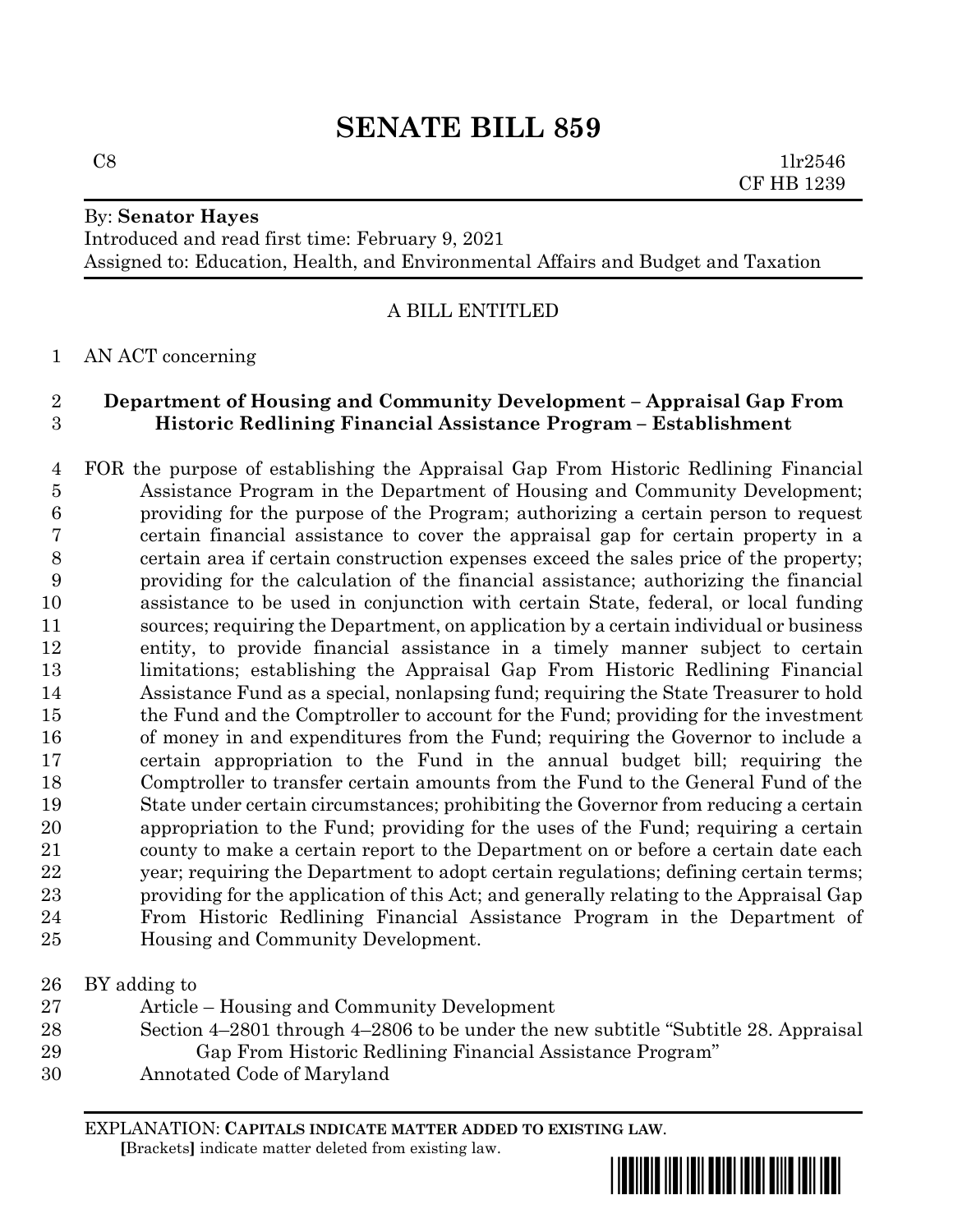# **SENATE BILL 859**

## By: **Senator Hayes**

Introduced and read first time: February 9, 2021 Assigned to: Education, Health, and Environmental Affairs and Budget and Taxation

## A BILL ENTITLED

### AN ACT concerning

## **Department of Housing and Community Development – Appraisal Gap From Historic Redlining Financial Assistance Program – Establishment**

- FOR the purpose of establishing the Appraisal Gap From Historic Redlining Financial Assistance Program in the Department of Housing and Community Development; providing for the purpose of the Program; authorizing a certain person to request certain financial assistance to cover the appraisal gap for certain property in a certain area if certain construction expenses exceed the sales price of the property; providing for the calculation of the financial assistance; authorizing the financial assistance to be used in conjunction with certain State, federal, or local funding sources; requiring the Department, on application by a certain individual or business entity, to provide financial assistance in a timely manner subject to certain limitations; establishing the Appraisal Gap From Historic Redlining Financial Assistance Fund as a special, nonlapsing fund; requiring the State Treasurer to hold the Fund and the Comptroller to account for the Fund; providing for the investment of money in and expenditures from the Fund; requiring the Governor to include a certain appropriation to the Fund in the annual budget bill; requiring the Comptroller to transfer certain amounts from the Fund to the General Fund of the State under certain circumstances; prohibiting the Governor from reducing a certain appropriation to the Fund; providing for the uses of the Fund; requiring a certain county to make a certain report to the Department on or before a certain date each year; requiring the Department to adopt certain regulations; defining certain terms; providing for the application of this Act; and generally relating to the Appraisal Gap From Historic Redlining Financial Assistance Program in the Department of Housing and Community Development.
- BY adding to
- Article Housing and Community Development
- Section 4–2801 through 4–2806 to be under the new subtitle "Subtitle 28. Appraisal Gap From Historic Redlining Financial Assistance Program"
- Annotated Code of Maryland

EXPLANATION: **CAPITALS INDICATE MATTER ADDED TO EXISTING LAW**.

 **[**Brackets**]** indicate matter deleted from existing law.

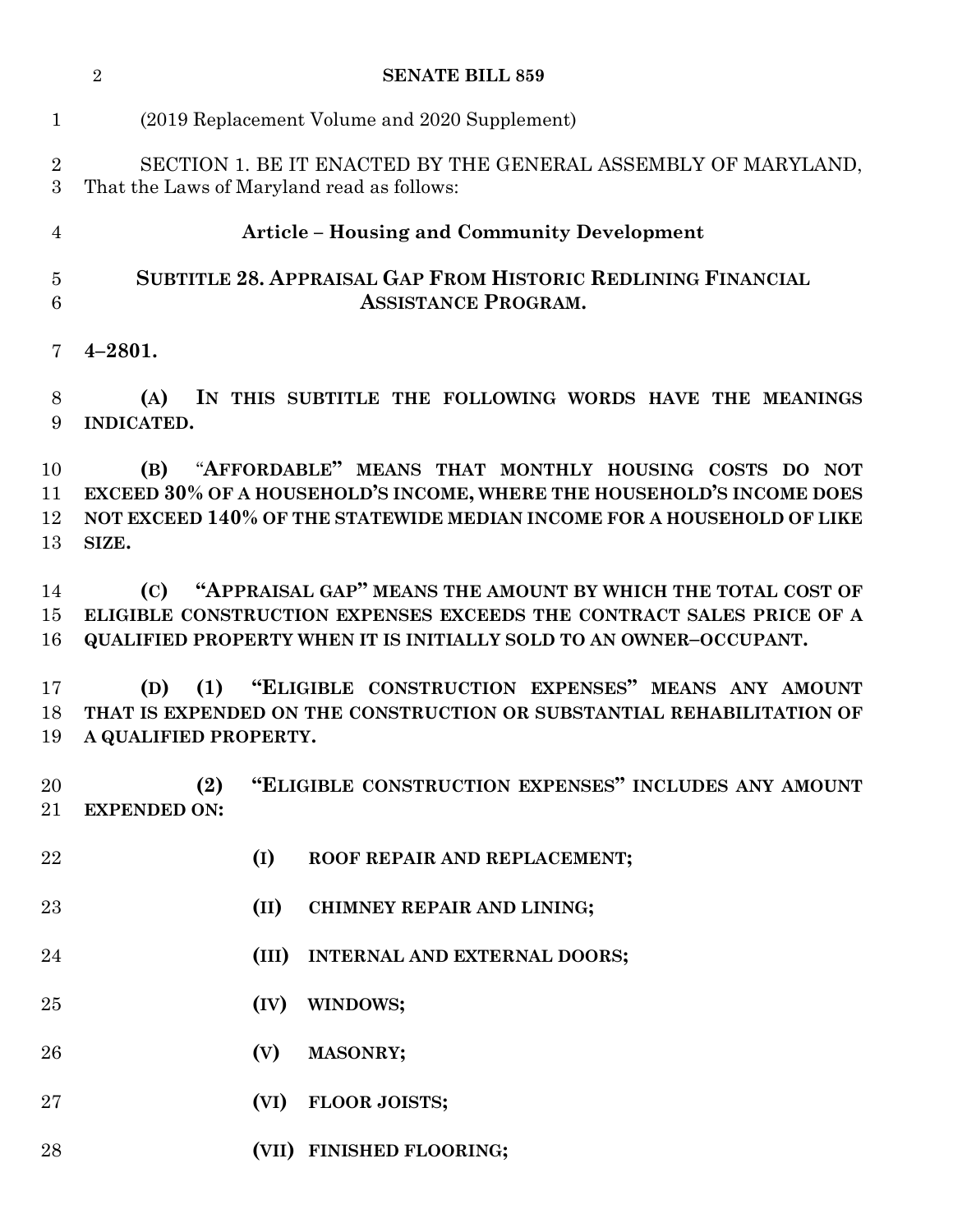|                      | $\overline{2}$                                                                                                                                                                                                   | <b>SENATE BILL 859</b>                                                                                                                                                                                  |
|----------------------|------------------------------------------------------------------------------------------------------------------------------------------------------------------------------------------------------------------|---------------------------------------------------------------------------------------------------------------------------------------------------------------------------------------------------------|
| $\mathbf{1}$         |                                                                                                                                                                                                                  | (2019 Replacement Volume and 2020 Supplement)                                                                                                                                                           |
| $\overline{2}$<br>3  |                                                                                                                                                                                                                  | SECTION 1. BE IT ENACTED BY THE GENERAL ASSEMBLY OF MARYLAND,<br>That the Laws of Maryland read as follows:                                                                                             |
| $\overline{4}$       |                                                                                                                                                                                                                  | <b>Article – Housing and Community Development</b>                                                                                                                                                      |
| $\overline{5}$<br>6  |                                                                                                                                                                                                                  | <b>SUBTITLE 28. APPRAISAL GAP FROM HISTORIC REDLINING FINANCIAL</b><br><b>ASSISTANCE PROGRAM.</b>                                                                                                       |
| 7                    | $4 - 2801.$                                                                                                                                                                                                      |                                                                                                                                                                                                         |
| 8<br>9               | (A)<br><b>INDICATED.</b>                                                                                                                                                                                         | IN THIS SUBTITLE THE FOLLOWING WORDS HAVE THE MEANINGS                                                                                                                                                  |
| 10<br>11<br>12<br>13 | (B)<br>SIZE.                                                                                                                                                                                                     | "AFFORDABLE" MEANS THAT MONTHLY HOUSING COSTS DO NOT<br>EXCEED 30% OF A HOUSEHOLD'S INCOME, WHERE THE HOUSEHOLD'S INCOME DOES<br>NOT EXCEED 140% OF THE STATEWIDE MEDIAN INCOME FOR A HOUSEHOLD OF LIKE |
| 14<br>15<br>16       | "APPRAISAL GAP" MEANS THE AMOUNT BY WHICH THE TOTAL COST OF<br>(C)<br>ELIGIBLE CONSTRUCTION EXPENSES EXCEEDS THE CONTRACT SALES PRICE OF A<br>QUALIFIED PROPERTY WHEN IT IS INITIALLY SOLD TO AN OWNER-OCCUPANT. |                                                                                                                                                                                                         |
| 17<br>18<br>19       | (1)<br>(D)<br>A QUALIFIED PROPERTY.                                                                                                                                                                              | "ELIGIBLE CONSTRUCTION EXPENSES" MEANS ANY AMOUNT<br>THAT IS EXPENDED ON THE CONSTRUCTION OR SUBSTANTIAL REHABILITATION OF                                                                              |
| 20<br>$21\,$         | (2)<br><b>EXPENDED ON:</b>                                                                                                                                                                                       | "ELIGIBLE CONSTRUCTION EXPENSES" INCLUDES ANY AMOUNT                                                                                                                                                    |
| 22                   |                                                                                                                                                                                                                  | (I)<br>ROOF REPAIR AND REPLACEMENT;                                                                                                                                                                     |
| 23                   |                                                                                                                                                                                                                  | (II)<br>CHIMNEY REPAIR AND LINING;                                                                                                                                                                      |
| 24                   |                                                                                                                                                                                                                  | (III)<br>INTERNAL AND EXTERNAL DOORS;                                                                                                                                                                   |
| 25                   |                                                                                                                                                                                                                  | (IV)<br>WINDOWS;                                                                                                                                                                                        |
| 26                   |                                                                                                                                                                                                                  | (V)<br>MASONRY;                                                                                                                                                                                         |
| $27\,$               |                                                                                                                                                                                                                  | <b>FLOOR JOISTS;</b><br>(VI)                                                                                                                                                                            |
| 28                   |                                                                                                                                                                                                                  | (VII) FINISHED FLOORING;                                                                                                                                                                                |
|                      |                                                                                                                                                                                                                  |                                                                                                                                                                                                         |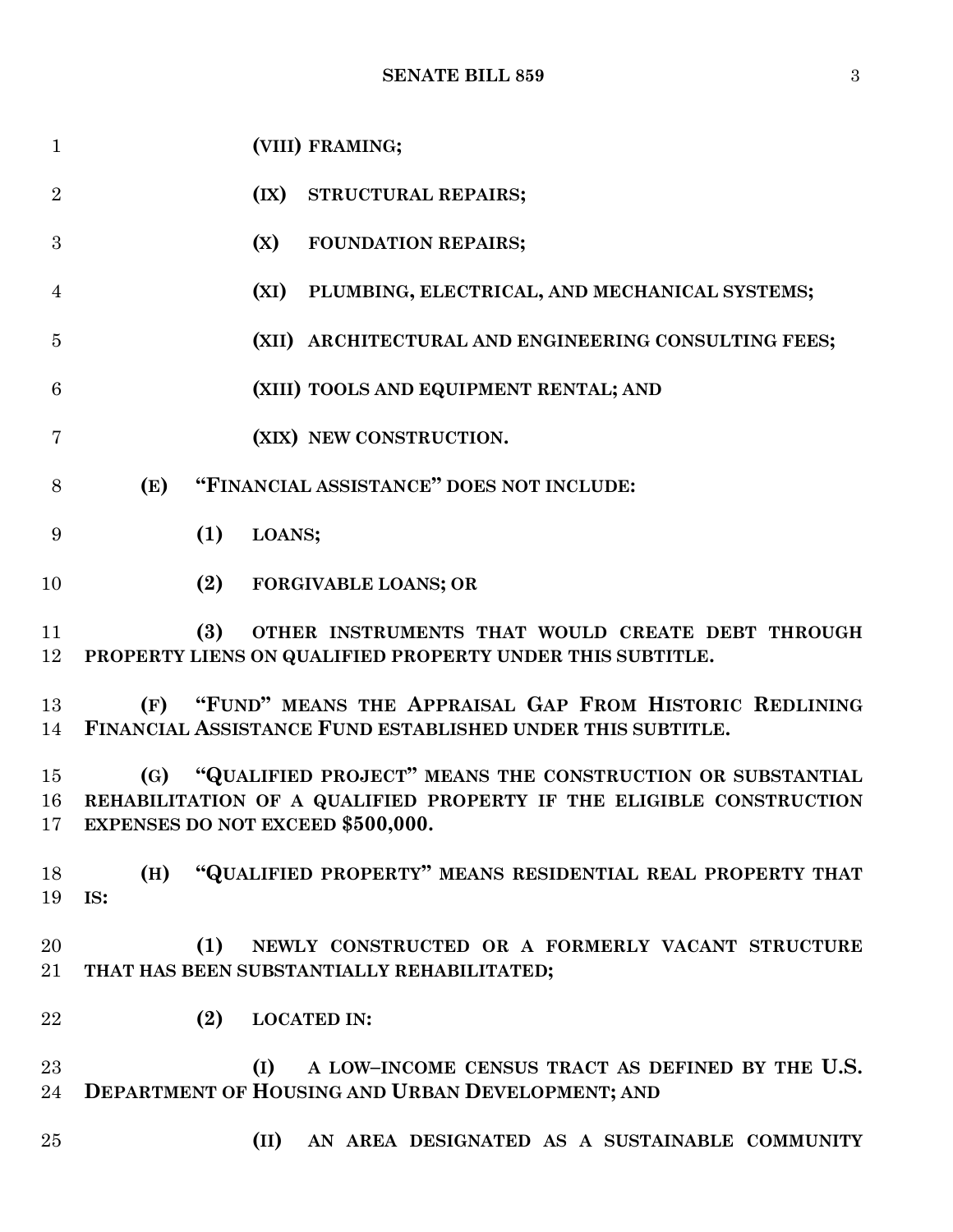| $\mathbf{1}$   | (VIII) FRAMING;                                                                                                                                                                  |
|----------------|----------------------------------------------------------------------------------------------------------------------------------------------------------------------------------|
| $\overline{2}$ | (IX) STRUCTURAL REPAIRS;                                                                                                                                                         |
| 3              | (X)<br><b>FOUNDATION REPAIRS;</b>                                                                                                                                                |
| $\overline{4}$ | (XI) PLUMBING, ELECTRICAL, AND MECHANICAL SYSTEMS;                                                                                                                               |
| 5              | (XII) ARCHITECTURAL AND ENGINEERING CONSULTING FEES;                                                                                                                             |
| 6              | (XIII) TOOLS AND EQUIPMENT RENTAL; AND                                                                                                                                           |
| 7              | (XIX) NEW CONSTRUCTION.                                                                                                                                                          |
| 8              | "FINANCIAL ASSISTANCE" DOES NOT INCLUDE:<br>(E)                                                                                                                                  |
| 9              | (1)<br>LOANS;                                                                                                                                                                    |
| 10             | (2)<br><b>FORGIVABLE LOANS; OR</b>                                                                                                                                               |
| 11<br>12       | (3)<br>OTHER INSTRUMENTS THAT WOULD CREATE DEBT THROUGH<br>PROPERTY LIENS ON QUALIFIED PROPERTY UNDER THIS SUBTITLE.                                                             |
| 13<br>14       | (F) "FUND" MEANS THE APPRAISAL GAP FROM HISTORIC REDLINING<br>FINANCIAL ASSISTANCE FUND ESTABLISHED UNDER THIS SUBTITLE.                                                         |
| 15<br>16<br>17 | (G) "QUALIFIED PROJECT" MEANS THE CONSTRUCTION OR SUBSTANTIAL<br>REHABILITATION OF A QUALIFIED PROPERTY IF THE ELIGIBLE CONSTRUCTION<br><b>EXPENSES DO NOT EXCEED \$500,000.</b> |
| 18<br>19       | "QUALIFIED PROPERTY" MEANS RESIDENTIAL REAL PROPERTY THAT<br>(H)<br>IS:                                                                                                          |
| 20<br>21       | (1)<br>NEWLY CONSTRUCTED OR A FORMERLY VACANT STRUCTURE<br>THAT HAS BEEN SUBSTANTIALLY REHABILITATED;                                                                            |
| 22             | (2)<br><b>LOCATED IN:</b>                                                                                                                                                        |
| 23<br>24       | A LOW-INCOME CENSUS TRACT AS DEFINED BY THE U.S.<br>(I)<br>DEPARTMENT OF HOUSING AND URBAN DEVELOPMENT; AND                                                                      |
| 25             | (II) AN AREA DESIGNATED AS A SUSTAINABLE COMMUNITY                                                                                                                               |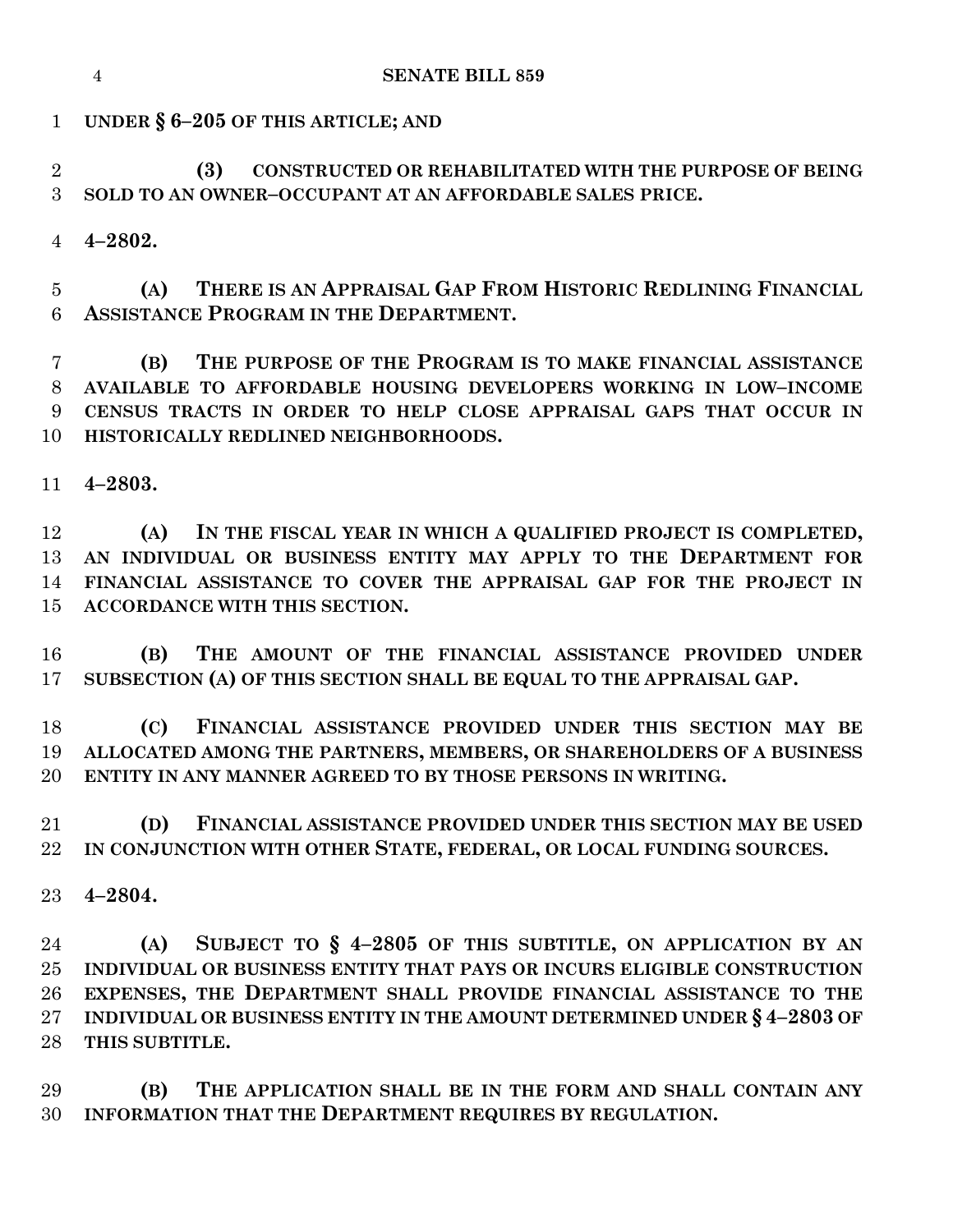**UNDER § 6–205 OF THIS ARTICLE; AND**

 **(3) CONSTRUCTED OR REHABILITATED WITH THE PURPOSE OF BEING SOLD TO AN OWNER–OCCUPANT AT AN AFFORDABLE SALES PRICE.**

**4–2802.**

 **(A) THERE IS AN APPRAISAL GAP FROM HISTORIC REDLINING FINANCIAL ASSISTANCE PROGRAM IN THE DEPARTMENT.**

 **(B) THE PURPOSE OF THE PROGRAM IS TO MAKE FINANCIAL ASSISTANCE AVAILABLE TO AFFORDABLE HOUSING DEVELOPERS WORKING IN LOW–INCOME CENSUS TRACTS IN ORDER TO HELP CLOSE APPRAISAL GAPS THAT OCCUR IN HISTORICALLY REDLINED NEIGHBORHOODS.**

**4–2803.**

 **(A) IN THE FISCAL YEAR IN WHICH A QUALIFIED PROJECT IS COMPLETED,** 13 AN INDIVIDUAL OR BUSINESS ENTITY MAY APPLY TO THE DEPARTMENT FOR **FINANCIAL ASSISTANCE TO COVER THE APPRAISAL GAP FOR THE PROJECT IN ACCORDANCE WITH THIS SECTION.**

 **(B) THE AMOUNT OF THE FINANCIAL ASSISTANCE PROVIDED UNDER SUBSECTION (A) OF THIS SECTION SHALL BE EQUAL TO THE APPRAISAL GAP.**

 **(C) FINANCIAL ASSISTANCE PROVIDED UNDER THIS SECTION MAY BE ALLOCATED AMONG THE PARTNERS, MEMBERS, OR SHAREHOLDERS OF A BUSINESS ENTITY IN ANY MANNER AGREED TO BY THOSE PERSONS IN WRITING.**

 **(D) FINANCIAL ASSISTANCE PROVIDED UNDER THIS SECTION MAY BE USED IN CONJUNCTION WITH OTHER STATE, FEDERAL, OR LOCAL FUNDING SOURCES.**

**4–2804.**

 **(A) SUBJECT TO § 4–2805 OF THIS SUBTITLE, ON APPLICATION BY AN INDIVIDUAL OR BUSINESS ENTITY THAT PAYS OR INCURS ELIGIBLE CONSTRUCTION EXPENSES, THE DEPARTMENT SHALL PROVIDE FINANCIAL ASSISTANCE TO THE INDIVIDUAL OR BUSINESS ENTITY IN THE AMOUNT DETERMINED UNDER § 4–2803 OF THIS SUBTITLE.**

 **(B) THE APPLICATION SHALL BE IN THE FORM AND SHALL CONTAIN ANY INFORMATION THAT THE DEPARTMENT REQUIRES BY REGULATION.**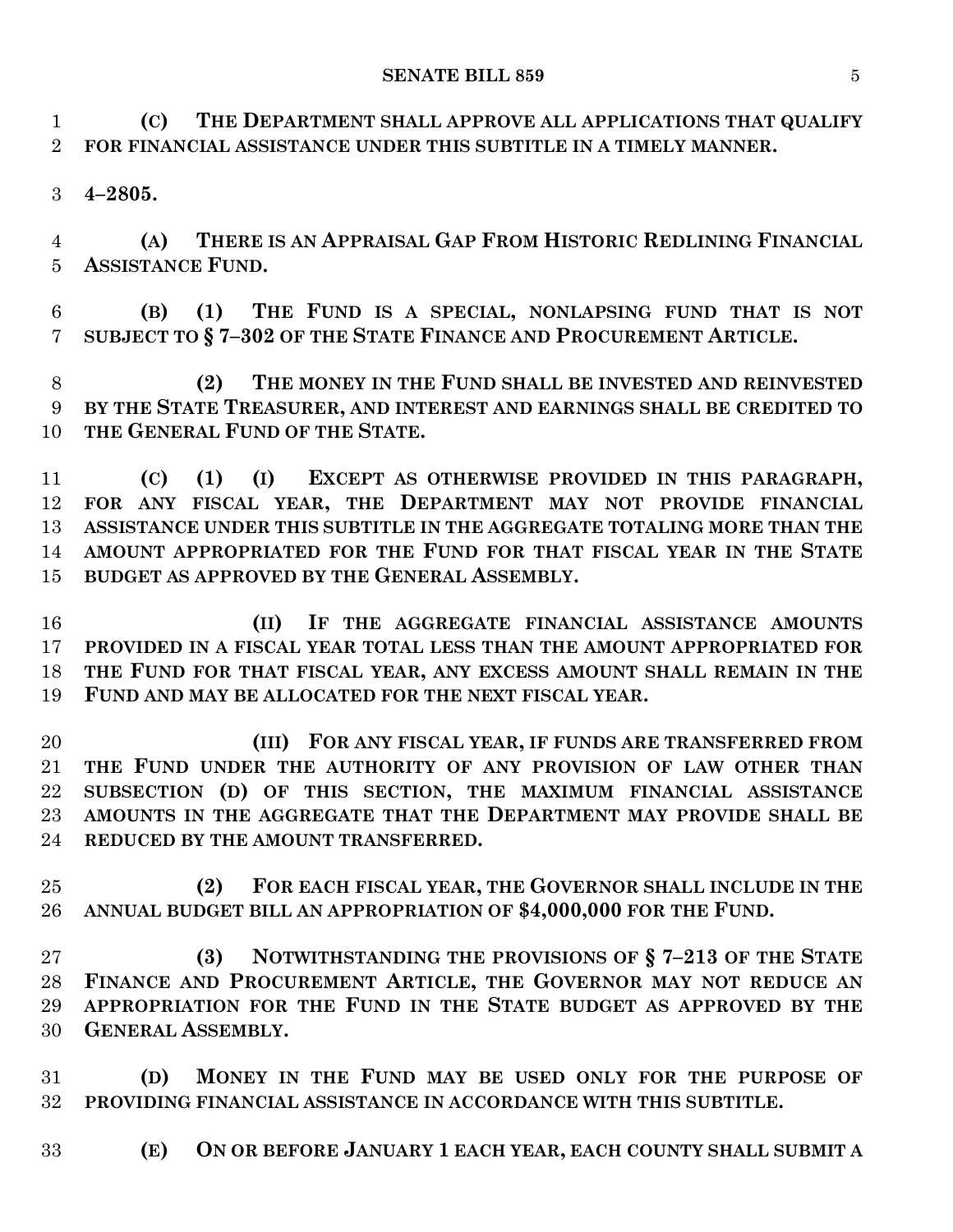#### **SENATE BILL 859** 5

 **(C) THE DEPARTMENT SHALL APPROVE ALL APPLICATIONS THAT QUALIFY FOR FINANCIAL ASSISTANCE UNDER THIS SUBTITLE IN A TIMELY MANNER.**

**4–2805.**

 **(A) THERE IS AN APPRAISAL GAP FROM HISTORIC REDLINING FINANCIAL ASSISTANCE FUND.**

 **(B) (1) THE FUND IS A SPECIAL, NONLAPSING FUND THAT IS NOT SUBJECT TO § 7–302 OF THE STATE FINANCE AND PROCUREMENT ARTICLE.**

 **(2) THE MONEY IN THE FUND SHALL BE INVESTED AND REINVESTED BY THE STATE TREASURER, AND INTEREST AND EARNINGS SHALL BE CREDITED TO THE GENERAL FUND OF THE STATE.**

 **(C) (1) (I) EXCEPT AS OTHERWISE PROVIDED IN THIS PARAGRAPH, FOR ANY FISCAL YEAR, THE DEPARTMENT MAY NOT PROVIDE FINANCIAL ASSISTANCE UNDER THIS SUBTITLE IN THE AGGREGATE TOTALING MORE THAN THE AMOUNT APPROPRIATED FOR THE FUND FOR THAT FISCAL YEAR IN THE STATE BUDGET AS APPROVED BY THE GENERAL ASSEMBLY.**

 **(II) IF THE AGGREGATE FINANCIAL ASSISTANCE AMOUNTS PROVIDED IN A FISCAL YEAR TOTAL LESS THAN THE AMOUNT APPROPRIATED FOR THE FUND FOR THAT FISCAL YEAR, ANY EXCESS AMOUNT SHALL REMAIN IN THE FUND AND MAY BE ALLOCATED FOR THE NEXT FISCAL YEAR.**

 **(III) FOR ANY FISCAL YEAR, IF FUNDS ARE TRANSFERRED FROM THE FUND UNDER THE AUTHORITY OF ANY PROVISION OF LAW OTHER THAN SUBSECTION (D) OF THIS SECTION, THE MAXIMUM FINANCIAL ASSISTANCE AMOUNTS IN THE AGGREGATE THAT THE DEPARTMENT MAY PROVIDE SHALL BE REDUCED BY THE AMOUNT TRANSFERRED.**

 **(2) FOR EACH FISCAL YEAR, THE GOVERNOR SHALL INCLUDE IN THE ANNUAL BUDGET BILL AN APPROPRIATION OF \$4,000,000 FOR THE FUND.**

 **(3) NOTWITHSTANDING THE PROVISIONS OF § 7–213 OF THE STATE FINANCE AND PROCUREMENT ARTICLE, THE GOVERNOR MAY NOT REDUCE AN APPROPRIATION FOR THE FUND IN THE STATE BUDGET AS APPROVED BY THE GENERAL ASSEMBLY.**

 **(D) MONEY IN THE FUND MAY BE USED ONLY FOR THE PURPOSE OF PROVIDING FINANCIAL ASSISTANCE IN ACCORDANCE WITH THIS SUBTITLE.**

**(E) ON OR BEFORE JANUARY 1 EACH YEAR, EACH COUNTY SHALL SUBMIT A**